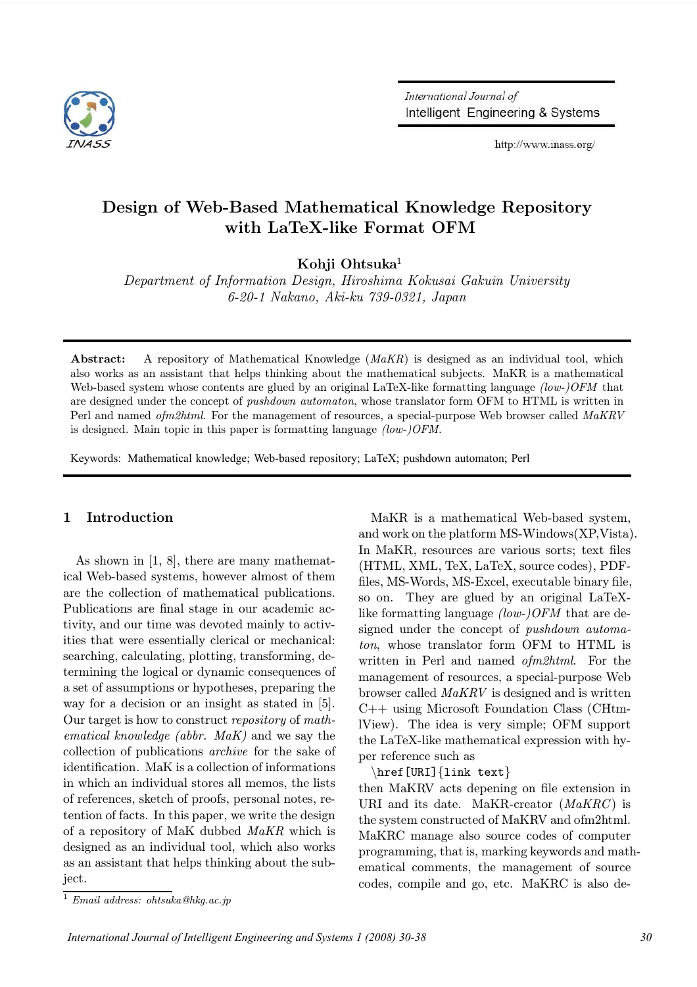

http://www.inass.org//

# Design of Web-Based Mathematical Knowledge Repository with LaTeX-like Format OFM

Kohji Ohtsuka<sup>1</sup>

Department of Information Design, Hiroshima Kokusai Gakuin University 6-20-1 Nakano, Aki-ku 739-0321, Japan

**Abstract:** A repository of Mathematical Knowledge  $(MaKR)$  is designed as an individual tool, which also works as an assistant that helps thinking about the mathematical subjects. MaKR is a mathematical Web-based system whose contents are glued by an original LaTeX-like formatting language (low-)OFM that are designed under the concept of *pushdown automaton*, whose translator form OFM to HTML is written in Perl and named *ofm2html*. For the management of resources, a special-purpose Web browser called MaKRV is designed. Main topic in this paper is formatting language  $(low-)OFM$ .

Keywords: Mathematical knowledge; Web-based repository; LaTeX; pushdown automaton; Perl

### 1 Introduction

As shown in [1, 8], there are many mathematical Web-based systems, however almost of them are the collection of mathematical publications. Publications are final stage in our academic activity, and our time was devoted mainly to activities that were essentially clerical or mechanical: searching, calculating, plotting, transforming, determining the logical or dynamic consequences of a set of assumptions or hypotheses, preparing the way for a decision or an insight as stated in [5]. Our target is how to construct repository of mathematical knowledge (abbr. MaK) and we say the collection of publications archive for the sake of identification. MaK is a collection of informations in which an individual stores all memos, the lists of references, sketch of proofs, personal notes, retention of facts. In this paper, we write the design of a repository of MaK dubbed MaKR which is designed as an individual tool, which also works as an assistant that helps thinking about the subject.

MaKR is a mathematical Web-based system, and work on the platform MS-Windows(XP,Vista). In MaKR, resources are various sorts; text files (HTML, XML, TeX, LaTeX, source codes), PDFfiles, MS-Words, MS-Excel, executable binary file, so on. They are glued by an original LaTeXlike formatting language (low-)OFM that are designed under the concept of pushdown automaton, whose translator form OFM to HTML is written in Perl and named *ofm2html*. For the management of resources, a special-purpose Web browser called MaKRV is designed and is written C++ using Microsoft Foundation Class (CHtmlView). The idea is very simple; OFM support the LaTeX-like mathematical expression with hyper reference such as

\href[URI]{link text}

then MaKRV acts depening on file extension in URI and its date. MaKR-creator  $(MaKRC)$  is the system constructed of MaKRV and ofm2html. MaKRC manage also source codes of computer programming, that is, marking keywords and mathematical comments, the management of source codes, compile and go, etc. MaKRC is also de-

 $\frac{1}{1}$  Email address: ohtsuka@hkq.ac.jp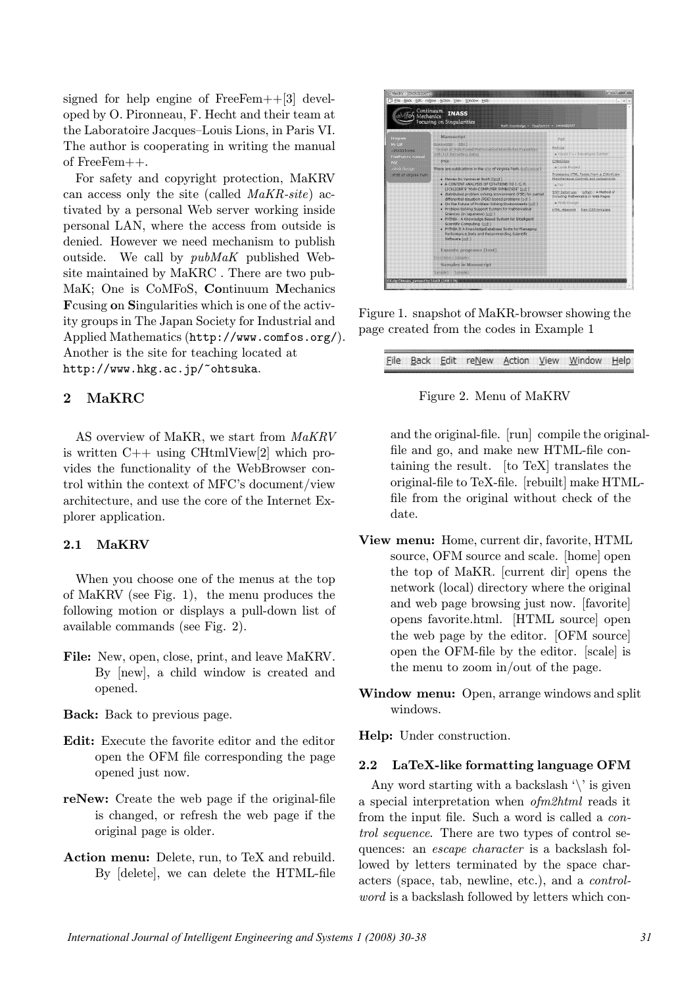signed for help engine of FreeFem++[3] developed by O. Pironneau, F. Hecht and their team at the Laboratoire Jacques—Louis Lions, in Paris VI. The author is cooperating in writing the manual of FreeFem++.

For safety and copyright protection, MaKRV can access only the site (called MaKR-site) activated by a personal Web server working inside personal LAN, where the access from outside is denied. However we need mechanism to publish outside. We call by  $pubMaK$  published Website maintained by MaKRC . There are two pub-MaK; One is CoMFoS, Continuum Mechanics Fcusing on Singularities which is one of the activity groups in The Japan Society for Industrial and Applied Mathematics (http://www.comfos.org/). Another is the site for teaching located at http://www.hkg.ac.jp/~ohtsuka.

## 2 MaKRC

AS overview of MaKR, we start from MaKRV is written C++ using CHtmlView[2] which provides the functionality of the WebBrowser control within the context of MFC's document/view architecture, and use the core of the Internet Explorer application.

#### 2.1 MaKRV

When you choose one of the menus at the top of MaKRV (see Fig. 1), the menu produces the following motion or displays a pull-down list of available commands (see Fig. 2).

- File: New, open, close, print, and leave MaKRV. By [new], a child window is created and opened.
- Back: Back to previous page.
- Edit: Execute the favorite editor and the editor open the OFM file corresponding the page opened just now.
- reNew: Create the web page if the original-file is changed, or refresh the web page if the original page is older.
- Action menu: Delete, run, to TeX and rebuild. By [delete], we can delete the HTML-file



Figure 1. snapshot of MaKR-browser showing the page created from the codes in Example 1

|  | Eile <u>B</u> ack <u>E</u> dit re <u>N</u> ew <u>A</u> ction <u>V</u> iew <u>W</u> indow Help |  |  |  |  |  |  |  |  |  |  |  |  |  |  |  |
|--|-----------------------------------------------------------------------------------------------|--|--|--|--|--|--|--|--|--|--|--|--|--|--|--|
|  |                                                                                               |  |  |  |  |  |  |  |  |  |  |  |  |  |  |  |
|  |                                                                                               |  |  |  |  |  |  |  |  |  |  |  |  |  |  |  |



and the original-file. [run] compile the originalfile and go, and make new HTML-file containing the result. [to TeX] translates the original-file to TeX-file. [rebuilt] make HTMLfile from the original without check of the date.

- View menu: Home, current dir, favorite, HTML source, OFM source and scale. [home] open the top of MaKR. [current dir] opens the network (local) directory where the original and web page browsing just now. [favorite] opens favorite.html. [HTML source] open the web page by the editor. [OFM source] open the OFM-file by the editor. [scale] is the menu to zoom in/out of the page.
- Window menu: Open, arrange windows and split windows.

Help: Under construction.

#### 2.2 LaTeX-like formatting language OFM

Any word starting with a backslash  $\Diamond$  is given a special interpretation when ofm2html reads it from the input file. Such a word is called a control sequence. There are two types of control sequences: an escape character is a backslash followed by letters terminated by the space characters (space, tab, newline, etc.), and a controlword is a backslash followed by letters which con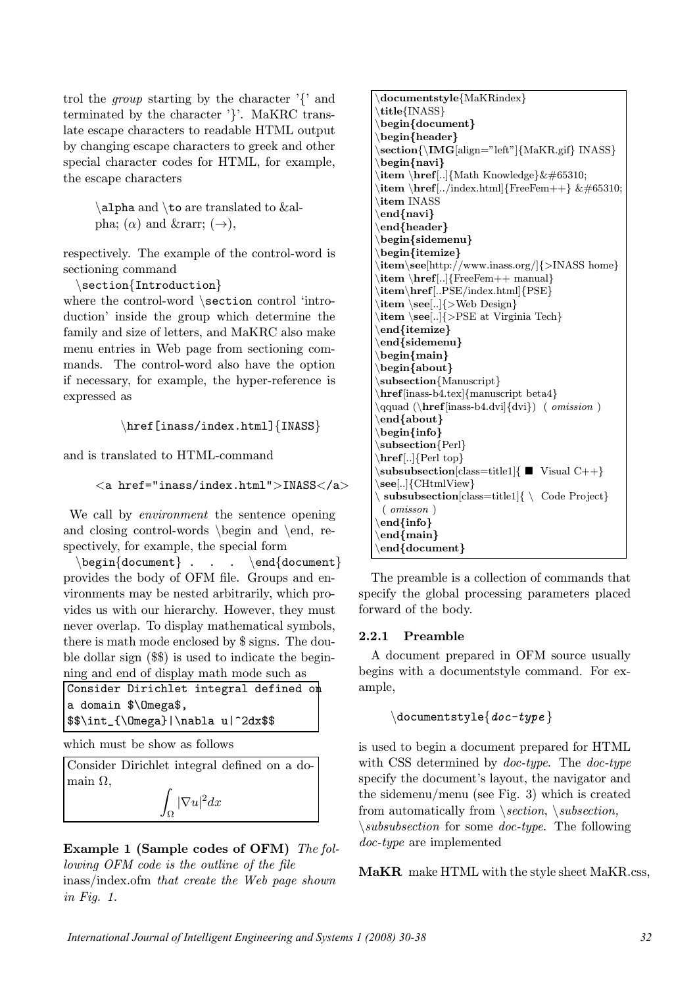trol the *group* starting by the character  $\langle \cdot \rangle$  and terminated by the character '}'. MaKRC translate escape characters to readable HTML output by changing escape characters to greek and other special character codes for HTML, for example, the escape characters

> \alpha and \to are translated to &alpha;  $(\alpha)$  and & rarr;  $(\rightarrow)$ ,

respectively. The example of the control-word is sectioning command

\section{Introduction}

where the control-word \section control 'introduction' inside the group which determine the family and size of letters, and MaKRC also make menu entries in Web page from sectioning commands. The control-word also have the option if necessary, for example, the hyper-reference is expressed as

\href[inass/index.html]{INASS}

and is translated to HTML-command

```
\langle a \rangle href="inass/index.html">INASS\langle a \rangle
```
We call by *environment* the sentence opening and closing control-words  $\begin{array}{c}$  and  $\end{array}$  respectively, for example, the special form

 $\begin{cases} \frac{d}{d} \cdot \cdot \cdot \cdot \cdot \end{cases}$ provides the body of OFM file. Groups and environments may be nested arbitrarily, which provides us with our hierarchy. However, they must never overlap. To display mathematical symbols, there is math mode enclosed by \$ signs. The double dollar sign (\$\$) is used to indicate the beginning and end of display math mode such as

```
Consider Dirichlet integral defined or
a domain $\Omega$,
$$\int_{\Omega}|\nabla u|^2dx$$
```

```
which must be show as follows
```
Consider Dirichlet integral defined on a domain  $Ω$ .

 $\int_{\Omega}|\nabla u|^2dx$ 

# Example 1 (Sample codes of OFM) The fol-

lowing OFM code is the outline of the file inass/index.ofm that create the Web page shown in Fig. 1.

 $d$ ocumentstyle{MaKRindex} \title{INASS} \begin{document} \begin{header} \section{\IMG[align="left"]{MaKR.gif} INASS} \begin{navi} \item \href[..]{Math Knowledge}  $\&\#65310;$  $\begin{equation} \begin{bmatrix} \text{item } \hline \text{Inref} \end{bmatrix} \begin{bmatrix} \text{FreeFem}_{+} \hline \text{K} \#65310 \end{bmatrix} \end{equation}$ \item INASS \end{navi} \end{header} \begin{sidemenu} \begin{itemize} \item\see[http://www.inass.org/]{>INASS home}  $\item \href{..}{r-ef[..]}{FreeFem++ manual}$ \item\href[..PSE/index.html]{PSE}  $\mathrm{item} \setminus \mathrm{see}$ ...] $\}$ Web Design \item \see[..]{>PSE at Virginia Tech} \end{itemize} \end{sidemenu}  $\begin{cases}$  begin{main} \begin{about} \subsection{Manuscript} \href[inass-b4.tex]{manuscript beta4}  $\qquad \qquad (\hbox{\texttt{lines-b4.dvi}}\, \qquad \, (\text{ *omission* })$ \end{about} \begin{info} \subsection{Perl} \href[..]{Perl top}  $\simeq$  \subsubsection[class=title1]{  $\blacksquare$  Visual C++} \see[..]{CHtmlView}  $\setminus$  subsubsection[class=title1] $\setminus$  Code Project} ( omisson ) \end{info}  $\end{main}$  $\end{math}$ 

The preamble is a collection of commands that specify the global processing parameters placed forward of the body.

## 2.2.1 Preamble

A document prepared in OFM source usually begins with a documentstyle command. For example,

\documentstyle{doc-type}

is used to begin a document prepared for HTML with CSS determined by *doc-type*. The *doc-type* specify the document's layout, the navigator and the sidemenu/menu (see Fig. 3) which is created from automatically from  $\setminus section, \setminus subsection,$  $\simeq$  subsubsection for some doc-type. The following doc-type are implemented

MaKR make HTML with the style sheet MaKR.css,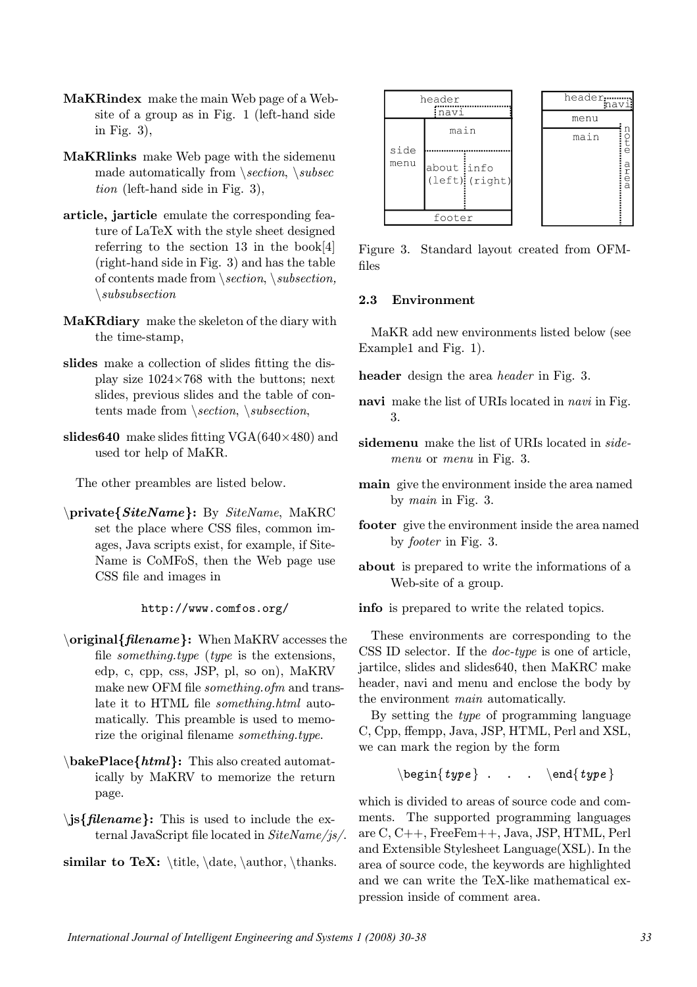- MaKRindex make the main Web page of a Website of a group as in Fig. 1 (left-hand side in Fig. 3),
- MaKRlinks make Web page with the sidemenu made automatically from  $\setminus section, \ \setminus subset$ tion (left-hand side in Fig. 3),
- article, jarticle emulate the corresponding feature of LaTeX with the style sheet designed referring to the section 13 in the book[4] (right-hand side in Fig. 3) and has the table of contents made from  $\setminus section, \setminus subsection,$  $\setminus subsubsection$
- MaKRdiary make the skeleton of the diary with the time-stamp,
- slides make a collection of slides fitting the display size  $1024\times768$  with the buttons; next slides, previous slides and the table of contents made from  $\setminus section, \setminus subsection,$
- slides640 make slides fitting  $VGA(640\times480)$  and used tor help of MaKR.

The other preambles are listed below.

\private{SiteName}: By SiteName, MaKRC set the place where CSS files, common images, Java scripts exist, for example, if Site-Name is CoMFoS, then the Web page use CSS file and images in

http://www.comfos.org/

- \original{filename}: When MaKRV accesses the file something.type (type is the extensions, edp, c, cpp, css, JSP, pl, so on), MaKRV make new OFM file something.ofm and translate it to HTML file something.html automatically. This preamble is used to memorize the original filename *something.type*.
- $\backslash$ bakePlace{html}: This also created automatically by MaKRV to memorize the return page.
- $\iint_{\mathbf{S}} \{ \mathrm{filename} \}$ : This is used to include the external JavaScript file located in SiteName/js/.
- similar to TeX: \title, \date, \author, \thanks.

|      | header     |                | header | navi         |
|------|------------|----------------|--------|--------------|
|      | :navi      |                | menu   |              |
| side | main       |                | main   | Π<br>c<br>te |
| menu | about info | (left) (right) |        | а<br>r<br>ea |
|      | footer     |                |        |              |

Figure 3. Standard layout created from OFMfiles

## 2.3 Environment

MaKR add new environments listed below (see Example1 and Fig. 1).

- header design the area *header* in Fig. 3.
- navi make the list of URIs located in navi in Fig. 3.
- sidemenu make the list of URIs located in sidemenu or menu in Fig. 3.
- main give the environment inside the area named by main in Fig. 3.
- footer give the environment inside the area named by footer in Fig. 3.
- about is prepared to write the informations of a Web-site of a group.

info is prepared to write the related topics.

These environments are corresponding to the CSS ID selector. If the doc-type is one of article, jartilce, slides and slides640, then MaKRC make header, navi and menu and enclose the body by the environment main automatically.

By setting the type of programming language C, Cpp, ffempp, Java, JSP, HTML, Perl and XSL, we can mark the region by the form

 $\begin{cases} type \}. \ . \ . \ . \ \end{cases}$ 

which is divided to areas of source code and comments. The supported programming languages are C, C++, FreeFem++, Java, JSP, HTML, Perl and Extensible Stylesheet Language(XSL). In the area of source code, the keywords are highlighted and we can write the TeX-like mathematical expression inside of comment area.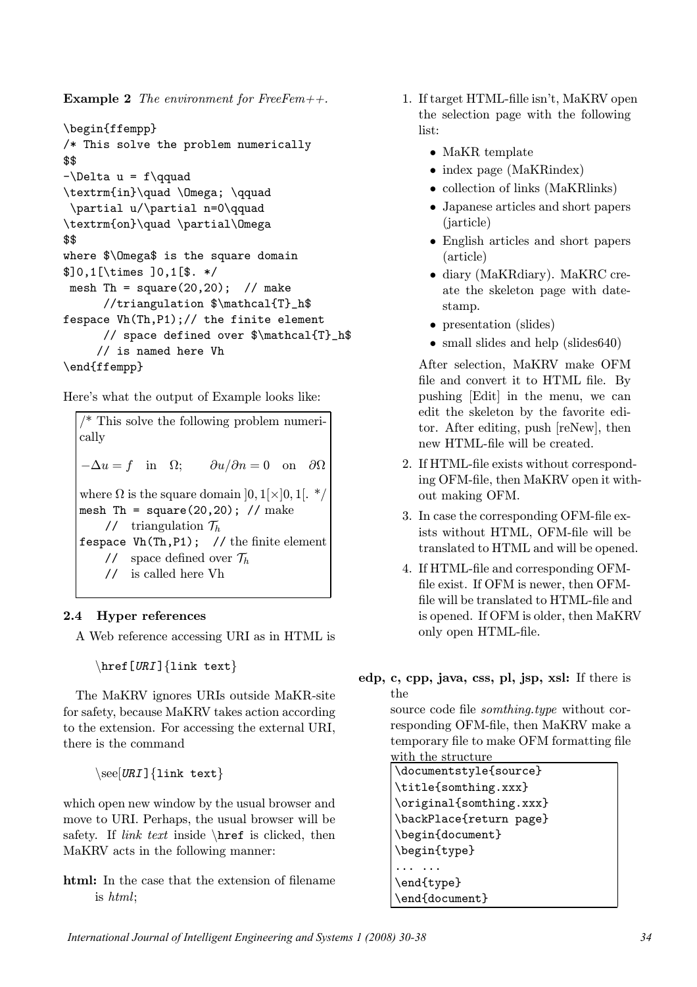**Example 2** The environment for FreeFem++.

```
\begin{ffempp}
/* This solve the problem numerically
$$
-\Delta u = f\qquad\textrm{in}\quad \Omega; \qquad
\partial u/\partial n=0\qquad
\textrm{on}\quad \partial\Omega
$$
where $\Omega$ is the square domain
$]0,1[\times ]0,1[$. */
mesh Th = square(20, 20); // make
      //triangulation $\mathcal{T}_h$
fespace Vh(Th,P1);// the finite element
      // space defined over $\mathcal{T}_h$
     // is named here Vh
\end{ffempp}
```
Here's what the output of Example looks like:

 $/*$  This solve the following problem numerically  $-\Delta u = f$  in  $\Omega$ ;  $\partial u / \partial n = 0$  on  $\partial \Omega$ where  $\Omega$  is the square domain  $[0, 1] \times [0, 1]$ . \*/ mesh Th = square(20,20); // make // triangulation  $\mathcal{T}_h$ fespace Vh(Th,P1); // the finite element // space defined over  $\mathcal{T}_h$ // is called here Vh

## 2.4 Hyper references

A Web reference accessing URI as in HTML is

 $\hbox{Inref}[URL]$  {link text}

The MaKRV ignores URIs outside MaKR-site for safety, because MaKRV takes action according to the extension. For accessing the external URI, there is the command

 $\setminus$ see[URI] {link text}

which open new window by the usual browser and move to URI. Perhaps, the usual browser will be safety. If *link text* inside  $\hbar$  is clicked, then MaKRV acts in the following manner:

html: In the case that the extension of filename is html;

- 1. If target HTML-fille isn't, MaKRV open the selection page with the following list:
	- MaKR template
	- index page (MaKRindex)
	- collection of links (MaKRlinks)
	- Japanese articles and short papers (jarticle)
	- English articles and short papers (article)
	- diary (MaKRdiary). MaKRC create the skeleton page with datestamp.
	- presentation (slides)
	- small slides and help (slides640)

After selection, MaKRV make OFM file and convert it to HTML file. By pushing [Edit] in the menu, we can edit the skeleton by the favorite editor. After editing, push [reNew], then new HTML-file will be created.

- 2. If HTML-file exists without corresponding OFM-file, then MaKRV open it without making OFM.
- 3. In case the corresponding OFM-file exists without HTML, OFM-file will be translated to HTML and will be opened.
- 4. If HTML-file and corresponding OFMfile exist. If OFM is newer, then OFMfile will be translated to HTML-file and is opened. If OFM is older, then MaKRV only open HTML-file.
- edp, c, cpp, java, css, pl, jsp, xsl: If there is the

source code file *somthing.type* without corresponding OFM-file, then MaKRV make a temporary file to make OFM formatting file with the structure

```
\documentstyle{source}
\title{somthing.xxx}
\original{somthing.xxx}
\backPlace{return page}
\begin{document}
\begin{type}
... ...
\end{type}
\end{document}
```
*International Journal of Intelligent Engineering and Systems 1 (2008) 30-38 34*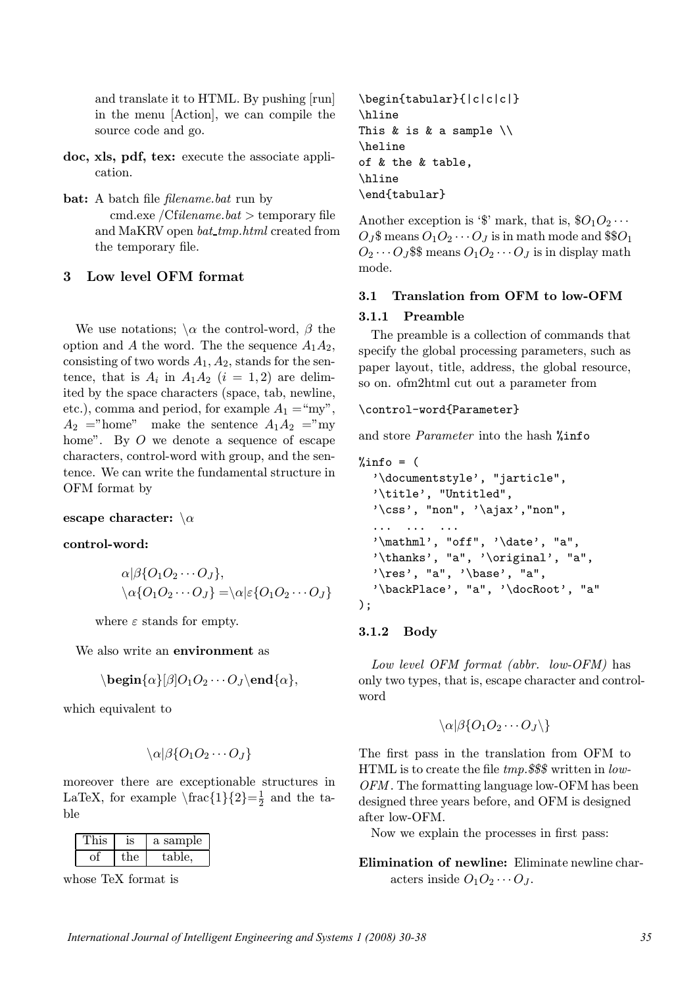and translate it to HTML. By pushing [run] in the menu [Action], we can compile the source code and go.

- doc, xls, pdf, tex: execute the associate application.
- bat: A batch file *filename.bat* run by cmd.exe / Cfilename.bat  $>$  temporary file and MaKRV open bat\_tmp.html created from the temporary file.

### 3 Low level OFM format

We use notations;  $\alpha$  the control-word,  $\beta$  the option and A the word. The the sequence  $A_1A_2$ , consisting of two words  $A_1, A_2$ , stands for the sentence, that is  $A_i$  in  $A_1A_2$   $(i = 1, 2)$  are delimited by the space characters (space, tab, newline, etc.), comma and period, for example  $A_1 = "my"$ ,  $A_2$  ="home" make the sentence  $A_1A_2$  ="my home". By O we denote a sequence of escape characters, control-word with group, and the sentence. We can write the fundamental structure in OFM format by

#### escape character:  $\setminus \alpha$

#### control-word:

$$
\alpha | \beta \{O_1O_2\cdots O_J\},\
$$
  

$$
\alpha \{O_1O_2\cdots O_J\} = \alpha | \varepsilon \{O_1O_2\cdots O_J\}
$$

where  $\varepsilon$  stands for empty.

We also write an **environment** as

$$
\setminus \textbf{begin} \{\alpha\}[\beta] O_1 O_2 \cdots O_J \setminus \textbf{end} \{\alpha\},
$$

which equivalent to

$$
\setminus \alpha | \beta \{ O_1 O_2 \cdots O_J \}
$$

moreover there are exceptionable structures in LaTeX, for example  $\frac{1}{2}=\frac{1}{2}$  and the table

|      | a sample |
|------|----------|
| t.he | table.   |

whose TeX format is

\begin{tabular}{|c|c|c|} \hline This & is & a sample  $\setminus$ \heline of & the & table, \hline \end{tabular}

Another exception is '\$' mark, that is,  $\text{$}O_1O_2 \cdots$  $O_J$ \$ means  $O_1O_2\cdots O_J$  is in math mode and \$\$ $O_1$  $O_2 \cdots O_J$ \$\$ means  $O_1 O_2 \cdots O_J$  is in display math mode.

#### 3.1 Translation from OFM to low-OFM

#### 3.1.1 Preamble

The preamble is a collection of commands that specify the global processing parameters, such as paper layout, title, address, the global resource, so on. ofm2html cut out a parameter from

\control-word{Parameter}

and store Parameter into the hash %info

```
\frac{\%}{\$}info = (
  '\documentstyle', "jarticle",
  '\title', "Untitled",
  '\css', "non", '\ajax',"non",
  ... ... ...
  '\mathcal{N}, "off", \mathcal{N}, "a",
  '\thanks', "a", '\original', "a",
  '\res', "a", '\bar{\text{base}}', "a",
  '\backPlace', "a", '\docRoot', "a"
);
```
#### 3.1.2 Body

Low level OFM format (abbr. low-OFM) has only two types, that is, escape character and controlword

$$
\setminus \alpha | \beta \{ O_1 O_2 \cdots O_J \setminus \}
$$

The first pass in the translation from OFM to HTML is to create the file  $tmp.\$$ \$\$ written in low-OFM . The formatting language low-OFM has been designed three years before, and OFM is designed after low-OFM.

Now we explain the processes in first pass:

Elimination of newline: Eliminate newline characters inside  $O_1O_2\cdots O_J$ .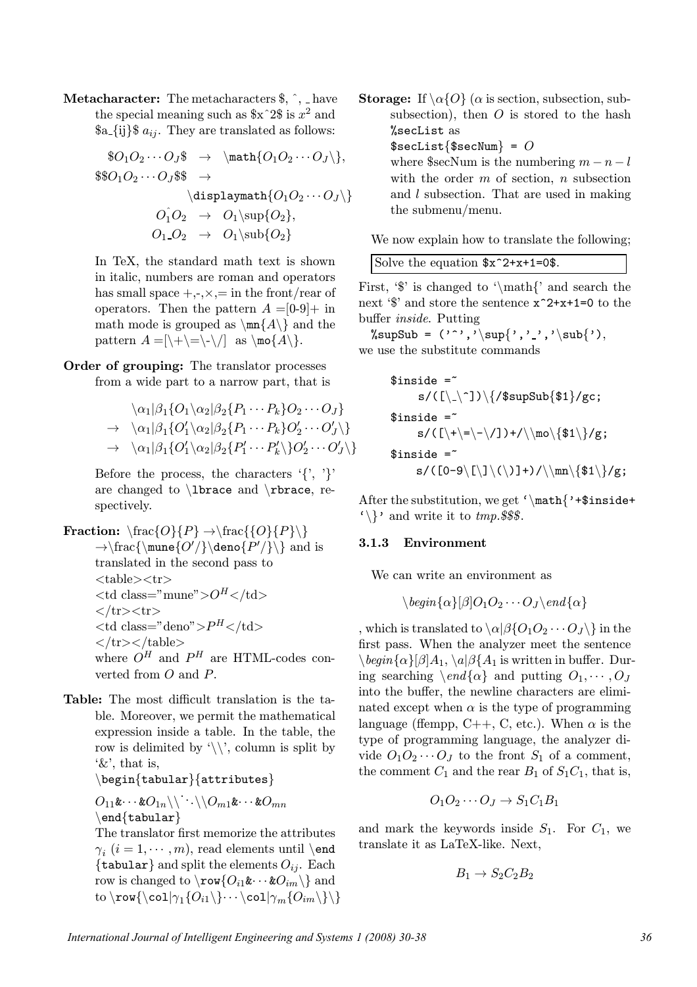Metacharacter: The metacharacters \$, ^, \_ have the special meaning such as  $x^2$  is  $x^2$  and  $a_{ij}$  &  $a_{ij}$ . They are translated as follows:

$$
\$O_1O_2\cdots O_J\$\rightarrow\ \mathbf{O}_1O_2\cdots O_J\},
$$
  
\n
$$
$O_1O_2\cdots O_J\$\rightarrow\ \displaystyle\bigcup_{O_1O_2\cdots O_J\setminus\}
$$
  
\n
$$
O_1O_2\rightarrow O_1\sup\{O_2\},
$$
  
\n
$$
O_1O_2\rightarrow O_1\sup\{O_2\}
$$

In TeX, the standard math text is shown in italic, numbers are roman and operators has small space  $+, \le, \times, =$  in the front/rear of operators. Then the pattern  $A = [0-9]+$  in math mode is grouped as  $\mathrm{A}\}\$ and the pattern  $A = |\{\rangle + \langle = \rangle \}$  as  $\m{A}{\}.$ 

## Order of grouping: The translator processes

from a wide part to a narrow part, that is

$$
\langle \alpha_1 | \beta_1 \{O_1 \setminus \alpha_2 | \beta_2 \{P_1 \cdots P_k\} O_2 \cdots O_J\}
$$
  
\n
$$
\rightarrow \langle \alpha_1 | \beta_1 \{O'_1 \setminus \alpha_2 | \beta_2 \{P_1 \cdots P_k\} O'_2 \cdots O'_J \setminus\}
$$
  
\n
$$
\rightarrow \langle \alpha_1 | \beta_1 \{O'_1 \setminus \alpha_2 | \beta_2 \{P'_1 \cdots P'_k \setminus\} O'_2 \cdots O'_J \setminus\}
$$

Before the process, the characters  $\{\}'$ ,  $\}'$ are changed to  $\langle$  abrace and  $\langle$  rbrace, respectively.

Fraction:  $\frac{O}{P} \rightarrow \frac{O}{P}\$  $\rightarrow\frac{\mu\neq O'/\deno\{P'/\}\}\$  and is translated in the second pass to  $<$ table $>$  $<$ tr $>$  $\lt t$ d class="mune"> $O^H$  $\lt$ /td>  $\langle tr \rangle \langle tr \rangle$  $<$ td class="deno"> $P^H$   $<$  /td $>$  $\langle tr \rangle \langle \langle t$ able $\rangle$ where  $O^H$  and  $P^H$  are HTML-codes converted from O and P.

Table: The most difficult translation is the table. Moreover, we permit the mathematical expression inside a table. In the table, the row is delimited by  $\langle \rangle$ , column is split by '&', that is,

\begin{tabular}{attributes}

$$
O_{11}\&\cdots \& O_{1n}\backslash \cdots \backslash O_{m1}\&\cdots \& O_{mn}
$$
  
\n
$$
\end{array}
$$

The translator first memorize the attributes  $\gamma_i$   $(i = 1, \dots, m)$ , read elements until \end {tabular} and split the elements  $O_{ij}$ . Each row is changed to  $\text{C}_{i1}$ & $\cdots$ & $\text{C}_{im}\$  and to  $\text{\coloneqq\{C_1\} \cup \text{C_2\}} \cup \text{C_3\} \}$  **Storage:** If  $\{\alpha\}$  ( $\alpha$  is section, subsection, subsubsection), then  $O$  is stored to the hash %secList as

 $$secList$  $$secNum$ } =  $O$ 

where \$secNum is the numbering  $m - n - l$ with the order  $m$  of section,  $n$  subsection and l subsection. That are used in making the submenu/menu.

We now explain how to translate the following;

| Solve the equation $x^2+x+1=0$ . |
|----------------------------------|
|----------------------------------|

First,  $\mathcal{S}'$  is changed to  $\mathcal{S}'$  and search the next ' $\mathcal{F}$ ' and store the sentence  $\mathbf{x}$ <sup>2+x+1=0</sup> to the buffer inside. Putting

 $\%$ supSub =  $('^{\prime},\cdot)\sup{',',','\sup{'}$ , we use the substitute commands

\$inside =~ s/([\ \^])\{/\$supSub{\$1}/gc; \$inside =~ s/([\+\=\-\/])+/\\mo\{\$1\}/g; \$inside =~ s/([0-9\[\]\(\)]+)/\\mn\{\$1\}/g;

After the substitution, we get  $\mathcal{S}$  +\$inside+  $\{\}\$  and write it to *tmp.*\$\$\$.

#### 3.1.3 Environment

We can write an environment as

$$
\setminus begin\{\alpha\}[\beta]O_1O_2\cdots O_J\setminus end\{\alpha\}
$$

, which is translated to  $\langle \alpha | \beta \{O_1O_2 \cdots O_J \rangle \}$  in the first pass. When the analyzer meet the sentence  $\begin{bmatrix} \begin{array}{c} \begin{array}{c} \end{array} & \begin{array}{c} \end{array} & \begin{array}{c} \end{array} & \begin{array}{c} \end{array} & \begin{array}{c} \end{array} & \end{bmatrix} & \begin{array}{c} \end{array} & \begin{array}{c} \end{array} & \begin{array}{c} \end{array} & \begin{array}{c} \end{array} & \end{bmatrix} & \begin{array}{c} \end{array} & \end{bmatrix} & \begin{array}{c} \end{array} & \begin{array}{c} \end{array} & \begin{array}{c} \end{array} & \begin{array}{c} \end{array} & \begin{array$ ing searching  $\end{math}$  and putting  $O_1, \dots, O_J$ into the buffer, the newline characters are eliminated except when  $\alpha$  is the type of programming language (ffempp, C++, C, etc.). When  $\alpha$  is the type of programming language, the analyzer divide  $O_1O_2\cdots O_J$  to the front  $S_1$  of a comment, the comment  $C_1$  and the rear  $B_1$  of  $S_1C_1$ , that is,

$$
O_1O_2\cdots O_J\to S_1C_1B_1
$$

and mark the keywords inside  $S_1$ . For  $C_1$ , we translate it as LaTeX-like. Next,

$$
B_1 \to S_2 C_2 B_2
$$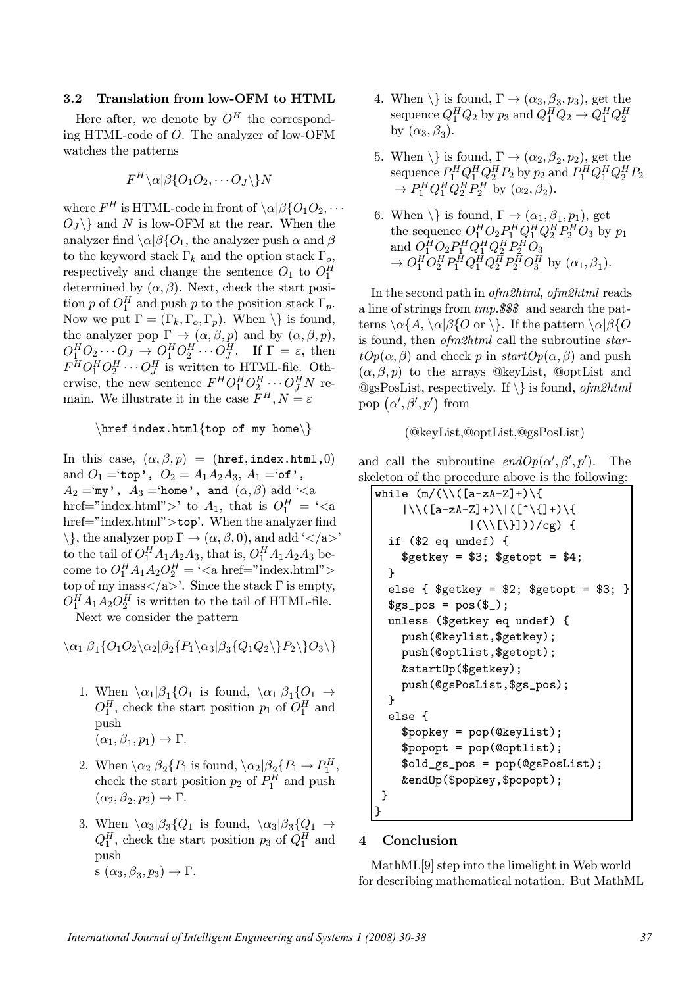#### 3.2 Translation from low-OFM to HTML

Here after, we denote by  $O^H$  the corresponding HTML-code of O. The analyzer of low-OFM watches the patterns

$$
F^H\backslash \alpha | \beta \{ O_1 O_2 , \cdots O_J \backslash \} N
$$

where  $F^H$  is HTML-code in front of  $\{\alpha | \beta \{O_1O_2, \cdots\}$  $O_J \$  and N is low-OFM at the rear. When the analyzer find  $\langle \alpha | \beta \{O_1, \beta \}$ , the analyzer push  $\alpha$  and  $\beta$ to the keyword stack  $\Gamma_k$  and the option stack  $\Gamma_o$ , respectively and change the sentence  $O_1$  to  $O_1^H$ determined by  $(\alpha, \beta)$ . Next, check the start position p of  $O_1^H$  and push p to the position stack  $\Gamma_p$ . Now we put  $\Gamma = (\Gamma_k, \Gamma_o, \Gamma_p)$ . When  $\setminus$  is found, the analyzer pop  $\Gamma \to (\alpha, \beta, p)$  and by  $(\alpha, \beta, p)$ ,  $O_1^H O_2 \cdots O_J \rightarrow O_1^H O_2^H \cdots O_J^H$ . If  $\Gamma = \varepsilon$ , then  $F^H O_1^H O_2^H \cdots O_J^H$  is written to HTML-file. Otherwise, the new sentence  $F^{H}O_{1}^{H}O_{2}^{H}\cdots O_{J}^{H}N$  remain. We illustrate it in the case  $F^H$ ,  $N = \varepsilon$ 

#### $\hbox{\tt href}$  index.html{top of my home}}

In this case,  $(\alpha, \beta, p) =$  (href, index.html,0) and  $O_1 = \text{top}'$ ,  $O_2 = A_1 A_2 A_3$ ,  $A_1 = \text{of}'$ ,  $A_2 = 'my'$ ,  $A_3 = 'home'$ , and  $(\alpha, \beta)$  add '<a href="index.html">' to  $A_1$ , that is  $O_1^H = '$ <a href="index.html">top'. When the analyzer find \}, the analyzer pop  $\Gamma \to (\alpha, \beta, 0)$ , and add '</a>' to the tail of  $O_1^H A_1 A_2 A_3$ , that is,  $O_1^H A_1 A_2 A_3$  become to  $O_1^H A_1 A_2 O_2^H = \text{``} \text{ href} = \text{"index.html"}$ top of my inass  $\langle a \rangle$ . Since the stack  $\Gamma$  is empty,  $O_1^H A_1 A_2 O_2^H$  is written to the tail of HTML-file.

Next we consider the pattern

$$
\setminus \alpha_1 | \beta_1 \{ O_1 O_2 \setminus \alpha_2 | \beta_2 \{ P_1 \setminus \alpha_3 | \beta_3 \{ Q_1 Q_2 \setminus \} P_2 \setminus \} O_3 \setminus \}
$$

- 1. When  $\alpha_1|\beta_1\{O_1$  is found,  $\alpha_1|\beta_1\{O_1 \rightarrow \mathbb{Z}\}\$  $O_1^H$ , check the start position  $p_1$  of  $O_1^H$  and push  $(\alpha_1, \beta_1, p_1) \rightarrow \Gamma$ .
- 2. When  $\alpha_2|\beta_2\{P_1 \text{ is found}, \alpha_2|\beta_2\{P_1 \rightarrow P_1^H, P_2\}$ check the start position  $p_2$  of  $P_1^H$  and push  $(\alpha_2, \beta_2, p_2) \rightarrow \Gamma$ .
- 3. When  $\alpha_3|\beta_3{Q_1}$  is found,  $\alpha_3|\beta_3{Q_1} \rightarrow$  $Q_1^H$ , check the start position  $p_3$  of  $Q_1^H$  and push s  $(\alpha_3, \beta_3, p_3) \rightarrow \Gamma$ .
- 4. When  $\{\}$  is found,  $\Gamma \rightarrow (\alpha_3, \beta_3, p_3)$ , get the  $\text{sequence } Q_1^H Q_2 \text{ by } p_3 \text{ and } Q_1^H Q_2 \rightarrow Q_1^H Q_2^H$ by  $(\alpha_3, \beta_3)$ .
- 5. When  $\{\}$  is found,  $\Gamma \rightarrow (\alpha_2, \beta_2, p_2)$ , get the  $\operatorname{sequence} \frac{P^H}{P^1} Q^H_1 Q^H_2 P_2 \text{ by } p_2 \text{ and } P^H_1 Q^H_1 Q^H_2 P_2$  $\rightarrow P_1^H Q_1^H Q_2^H P_2^H$  by  $(\alpha_2, \beta_2)$ .
- 6. When  $\{\}$  is found,  $\Gamma \to (\alpha_1, \beta_1, p_1)$ , get the sequence  $O_1^H O_2 P_1^H Q_1^H Q_2^H P_2^H O_3$  by  $p_1$ and  $O_1^H O_2 P_1^H Q_1^H Q_2^H P_2^H O_3$  $\rightarrow O_1^H O_2^H P_1^H Q_1^H Q_2^H P_2^H O_3^H$  by  $(\alpha_1, \beta_1)$ .

In the second path in ofm2html, ofm2html reads a line of strings from tmp.\$\$\$ and search the patterns  $\{\alpha\}A, \{\alpha\}\beta\}O$  or  $\}$ . If the pattern  $\{\alpha\}\beta\}O$ is found, then ofm2html call the subroutine star $tOp(\alpha, \beta)$  and check p in start $Op(\alpha, \beta)$  and push  $(\alpha, \beta, p)$  to the arrays @keyList, @optList and  $@gsPosList, respectively.$  If  $\{\}\$ is found, *ofm2html* pop  $(\alpha', \beta', p')$  from

$$
(\text{@keyList},\text{@optList},\text{@gsPosList})
$$

and call the subroutine  $endOp(\alpha', \beta', p')$ ). The skeleton of the procedure above is the following:

```
while (m/(\setminus)([a-zA-Z]+)\setminus\{|\setminus ( [a-zA-Z]+)\setminus | ( [^{\wedge} \setminus \{ ]+ )\setminus \{ }|(\{\{\{\}\}\})\rangle/cg) {
  if ($2 eq undef) {
    % *$getkey = $3; $getopt = $4;
  }
  else { $getkey = $2; $getopt = $3; }sgs_pos = pos($_);unless ($getkey eq undef) {
    push(@keylist,$getkey);
    push(@optlist,$getopt);
    &startOp($getkey);
    push(@gsPosList,$gs_pos);
  }
  else {
    $popkey = pop(@keylist);$popopt = pop(@optlist);
    $old_gs_pos = pop(@gsPosList);
    &endOp($popkey,$popopt);
}
}
```
#### 4 Conclusion

MathML[9] step into the limelight in Web world for describing mathematical notation. But MathML